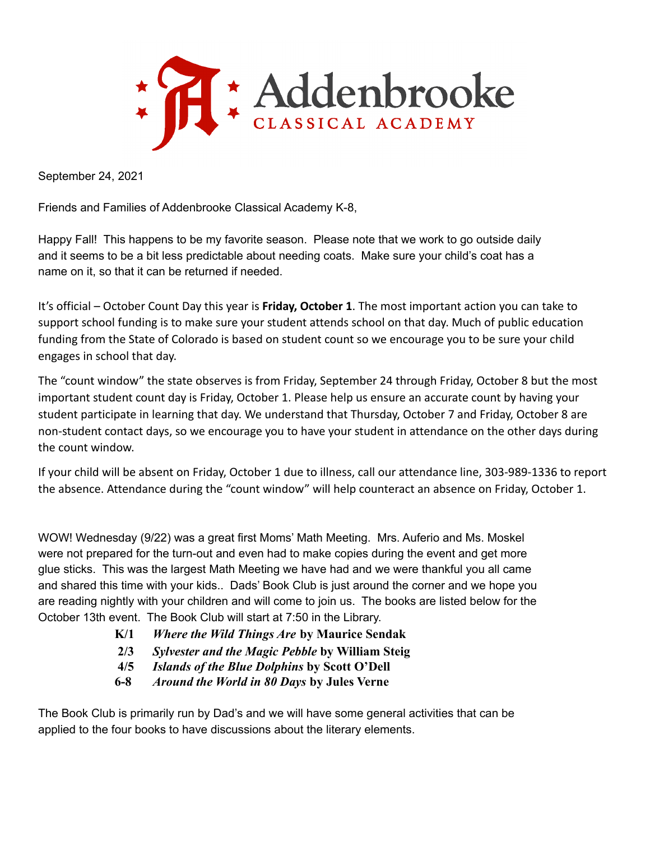

September 24, 2021

Friends and Families of Addenbrooke Classical Academy K-8,

Happy Fall! This happens to be my favorite season. Please note that we work to go outside daily and it seems to be a bit less predictable about needing coats. Make sure your child's coat has a name on it, so that it can be returned if needed.

It's official – October Count Day this year is **Friday, October 1**. The most important action you can take to support school funding is to make sure your student attends school on that day. Much of public education funding from the State of Colorado is based on student count so we encourage you to be sure your child engages in school that day.

The "count window" the state observes is from Friday, September 24 through Friday, October 8 but the most important student count day is Friday, October 1. Please help us ensure an accurate count by having your student participate in learning that day. We understand that Thursday, October 7 and Friday, October 8 are non-student contact days, so we encourage you to have your student in attendance on the other days during the count window.

If your child will be absent on Friday, October 1 due to illness, call our attendance line, 303-989-1336 to report the absence. Attendance during the "count window" will help counteract an absence on Friday, October 1.

WOW! Wednesday (9/22) was a great first Moms' Math Meeting. Mrs. Auferio and Ms. Moskel were not prepared for the turn-out and even had to make copies during the event and get more glue sticks. This was the largest Math Meeting we have had and we were thankful you all came and shared this time with your kids.. Dads' Book Club is just around the corner and we hope you are reading nightly with your children and will come to join us. The books are listed below for the October 13th event. The Book Club will start at 7:50 in the Library.

- **K/1** *Where the Wild Things Are* **by Maurice Sendak**
- **2/3** *Sylvester and the Magic Pebble* **by William Steig**
- **4/5** *Islands of the Blue Dolphins* **by Scott O'Dell**
- **6-8** *Around the World in 80 Days* **by Jules Verne**

The Book Club is primarily run by Dad's and we will have some general activities that can be applied to the four books to have discussions about the literary elements.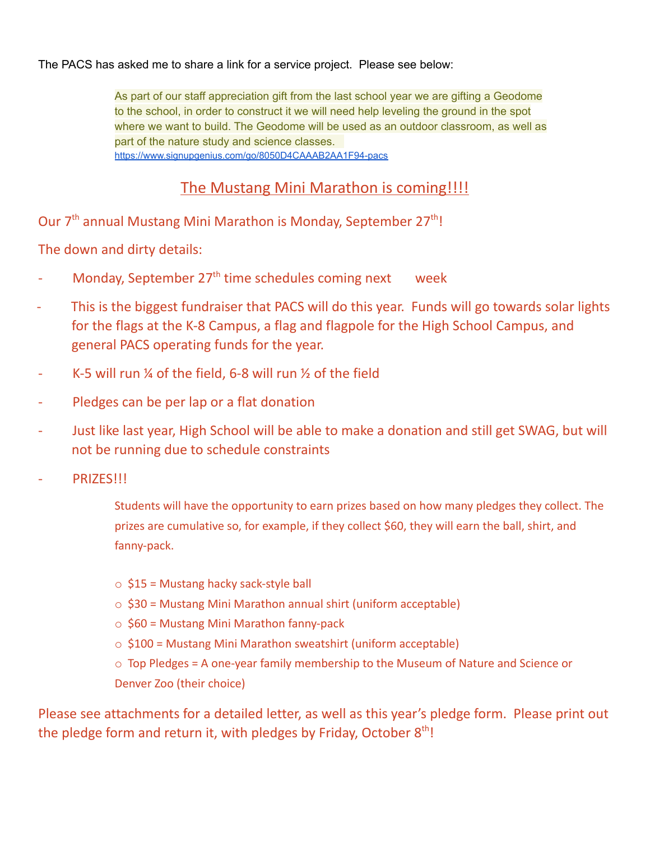The PACS has asked me to share a link for a service project. Please see below:

As part of our staff appreciation gift from the last school year we are gifting a Geodome to the school, in order to construct it we will need help leveling the ground in the spot where we want to build. The Geodome will be used as an outdoor classroom, as well as part of the nature study and science classes. <https://www.signupgenius.com/go/8050D4CAAAB2AA1F94-pacs>

## The Mustang Mini Marathon is coming!!!!

Our 7<sup>th</sup> annual Mustang Mini Marathon is Monday, September 27<sup>th</sup>!

The down and dirty details:

- Monday, September 27<sup>th</sup> time schedules coming next week
- This is the biggest fundraiser that PACS will do this year. Funds will go towards solar lights for the flags at the K-8 Campus, a flag and flagpole for the High School Campus, and general PACS operating funds for the year.
- K-5 will run  $\frac{1}{4}$  of the field, 6-8 will run  $\frac{1}{2}$  of the field
- Pledges can be per lap or a flat donation
- Just like last year, High School will be able to make a donation and still get SWAG, but will not be running due to schedule constraints
- PRIZES!!!
	- Students will have the opportunity to earn prizes based on how many pledges they collect. The prizes are cumulative so, for example, if they collect \$60, they will earn the ball, shirt, and fanny-pack.
	- $\circ$  \$15 = Mustang hacky sack-style ball
	- o \$30 = Mustang Mini Marathon annual shirt (uniform acceptable)
	- $\circ$  \$60 = Mustang Mini Marathon fanny-pack
	- $\circ$  \$100 = Mustang Mini Marathon sweatshirt (uniform acceptable)
	- o Top Pledges = A one-year family membership to the Museum of Nature and Science or Denver Zoo (their choice)

Please see attachments for a detailed letter, as well as this year's pledge form. Please print out the pledge form and return it, with pledges by Friday, October 8<sup>th</sup>!